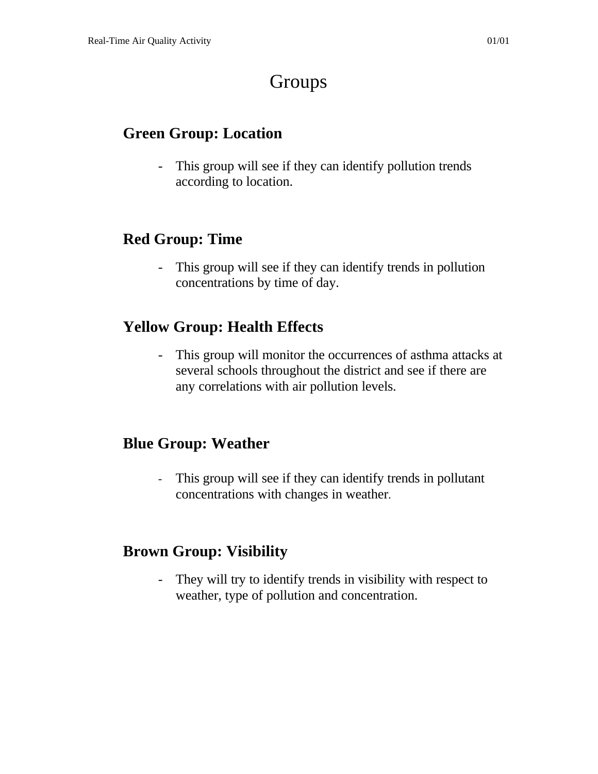# Groups

#### **Green Group: Location**

- This group will see if they can identify pollution trends according to location.

### **Red Group: Time**

This group will see if they can identify trends in pollution concentrations by time of day.

## **Yellow Group: Health Effects**

- This group will monitor the occurrences of asthma attacks at several schools throughout the district and see if there are any correlations with air pollution levels.

### **Blue Group: Weather**

- This group will see if they can identify trends in pollutant concentrations with changes in weather.

### **Brown Group: Visibility**

- They will try to identify trends in visibility with respect to weather, type of pollution and concentration.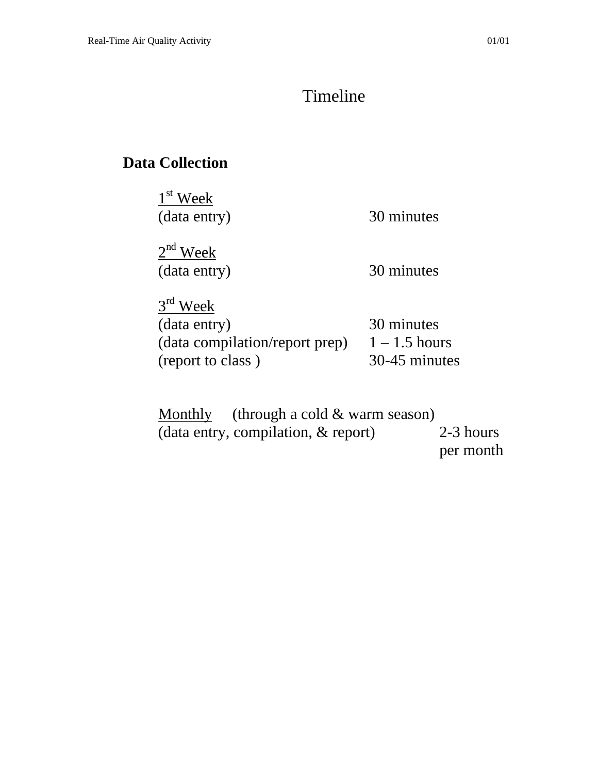#### Timeline

## **Data Collection**

1<sup>st</sup> Week (data entry) 30 minutes

 $2<sup>nd</sup>$  Week (data entry) 30 minutes

 $3<sup>rd</sup>$  Week (data entry) 30 minutes (data compilation/report prep)  $1 - 1.5$  hours (report to class ) 30-45 minutes

Monthly (through a cold & warm season) (data entry, compilation, & report) 2-3 hours per month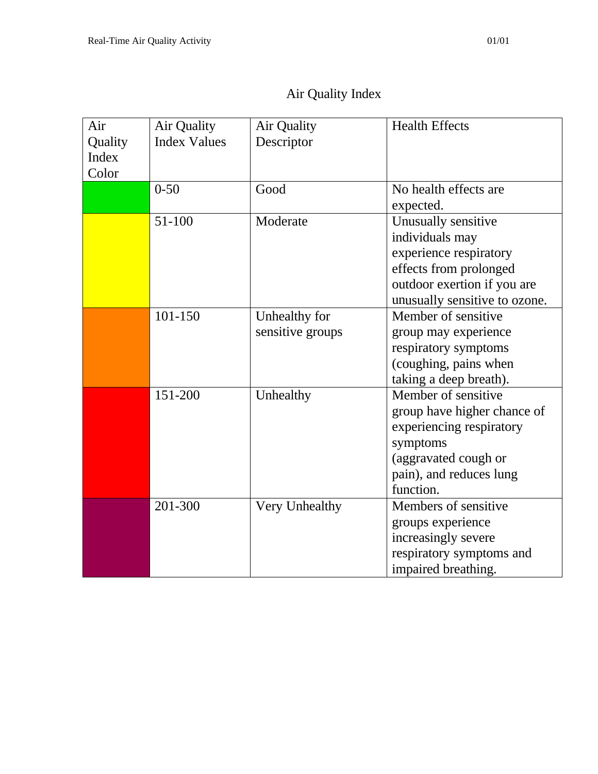### Air Quality Index

| Air<br>Quality<br>Index<br>Color | Air Quality<br><b>Index Values</b> | Air Quality<br>Descriptor         | <b>Health Effects</b>                                                                                                                                      |
|----------------------------------|------------------------------------|-----------------------------------|------------------------------------------------------------------------------------------------------------------------------------------------------------|
|                                  | $0 - 50$                           | Good                              | No health effects are<br>expected.                                                                                                                         |
|                                  | $51 - 100$                         | Moderate                          | Unusually sensitive<br>individuals may<br>experience respiratory<br>effects from prolonged<br>outdoor exertion if you are<br>unusually sensitive to ozone. |
|                                  | 101-150                            | Unhealthy for<br>sensitive groups | Member of sensitive<br>group may experience<br>respiratory symptoms<br>(coughing, pains when<br>taking a deep breath).                                     |
|                                  | 151-200                            | Unhealthy                         | Member of sensitive<br>group have higher chance of<br>experiencing respiratory<br>symptoms<br>(aggravated cough or<br>pain), and reduces lung<br>function. |
|                                  | 201-300                            | Very Unhealthy                    | Members of sensitive<br>groups experience<br>increasingly severe<br>respiratory symptoms and<br>impaired breathing.                                        |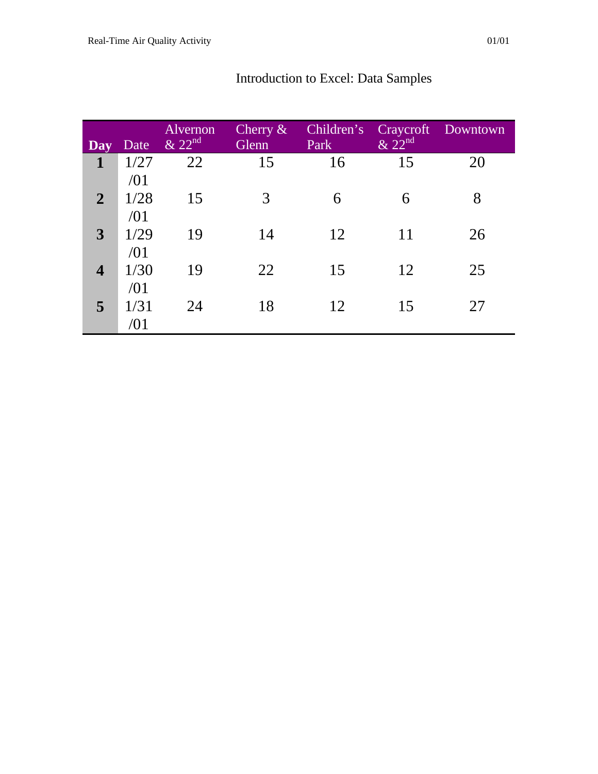| <b>Day</b>              | Date        | Alvernon<br>$\&$ 22 <sup>nd</sup> | Cherry $\&$<br>Glenn | Children's<br>Park | & 22 <sup>nd</sup> | Craycroft Downtown |
|-------------------------|-------------|-----------------------------------|----------------------|--------------------|--------------------|--------------------|
| 1                       | 1/27<br>/01 | 22                                | 15                   | 16                 | 15                 | 20                 |
| $\overline{2}$          | 1/28<br>/01 | 15                                | 3                    | 6                  | 6                  | 8                  |
| 3                       | 1/29<br>/01 | 19                                | 14                   | 12                 | 11                 | 26                 |
| $\overline{\mathbf{4}}$ | 1/30<br>/01 | 19                                | 22                   | 15                 | 12                 | 25                 |
| 5                       | 1/31<br>/01 | 24                                | 18                   | 12                 | 15                 | 27                 |

### Introduction to Excel: Data Samples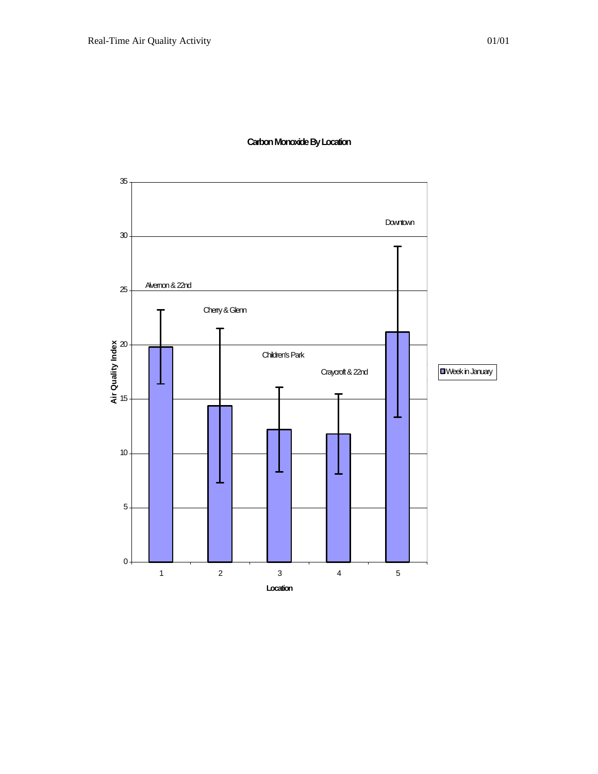

#### **Carbon Monoxide By Location**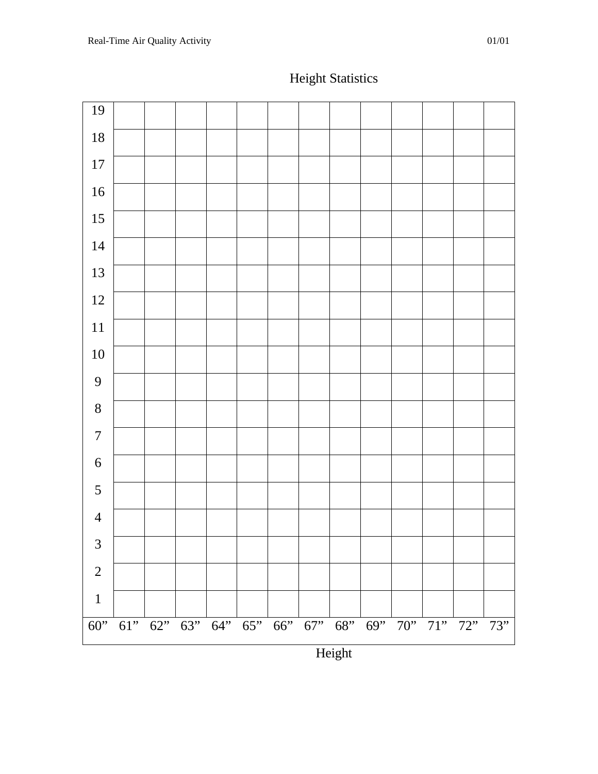

### Height Statistics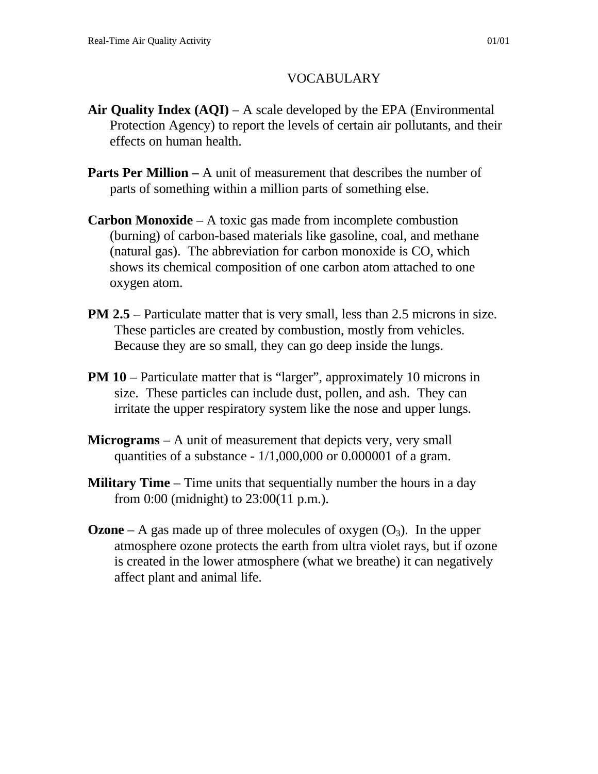#### VOCABULARY

- **Air Quality Index (AQI)** A scale developed by the EPA (Environmental Protection Agency) to report the levels of certain air pollutants, and their effects on human health.
- **Parts Per Million** A unit of measurement that describes the number of parts of something within a million parts of something else.
- **Carbon Monoxide** A toxic gas made from incomplete combustion (burning) of carbon-based materials like gasoline, coal, and methane (natural gas). The abbreviation for carbon monoxide is CO, which shows its chemical composition of one carbon atom attached to one oxygen atom.
- **PM 2.5** Particulate matter that is very small, less than 2.5 microns in size. These particles are created by combustion, mostly from vehicles. Because they are so small, they can go deep inside the lungs.
- **PM 10** Particulate matter that is "larger", approximately 10 microns in size. These particles can include dust, pollen, and ash. They can irritate the upper respiratory system like the nose and upper lungs.
- **Micrograms**  A unit of measurement that depicts very, very small quantities of a substance - 1/1,000,000 or 0.000001 of a gram.
- **Military Time** Time units that sequentially number the hours in a day from 0:00 (midnight) to 23:00(11 p.m.).
- **Ozone** A gas made up of three molecules of oxygen  $(O_3)$ . In the upper atmosphere ozone protects the earth from ultra violet rays, but if ozone is created in the lower atmosphere (what we breathe) it can negatively affect plant and animal life.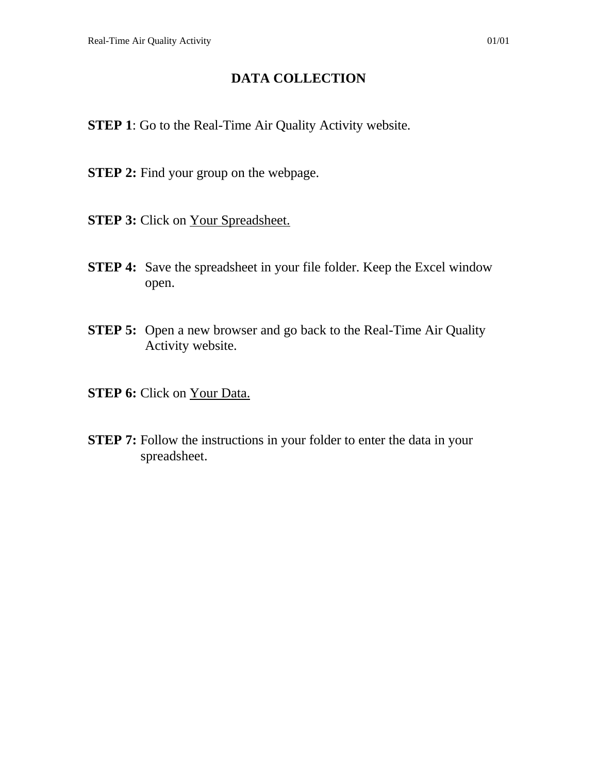#### **DATA COLLECTION**

- **STEP 1**: Go to the Real-Time Air Quality Activity website.
- **STEP 2:** Find your group on the webpage.
- **STEP 3:** Click on Your Spreadsheet.
- **STEP 4:** Save the spreadsheet in your file folder. Keep the Excel window open.
- **STEP 5:** Open a new browser and go back to the Real-Time Air Quality Activity website.
- **STEP 6:** Click on Your Data.
- **STEP 7:** Follow the instructions in your folder to enter the data in your spreadsheet.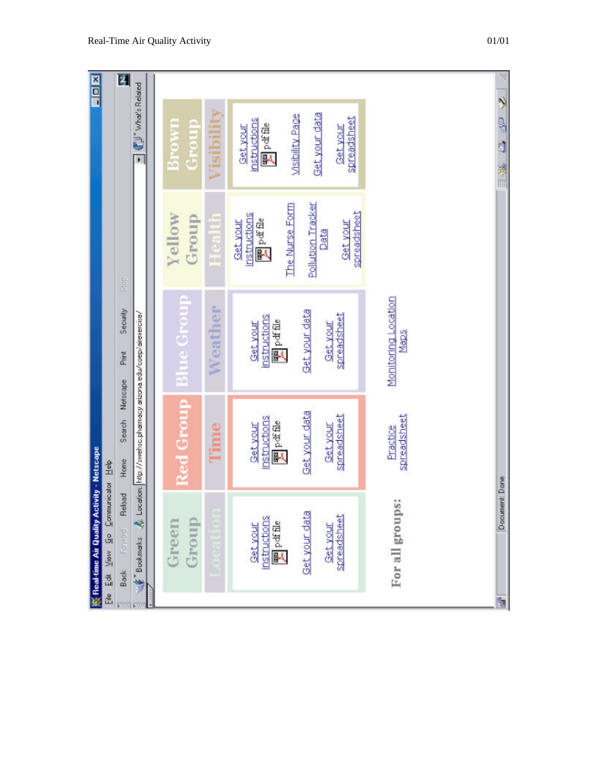|   | ※ Real-time Air Quality Activity - Netscape                                                                             |                                                                                                                   |                                                                                                                                 |                                                                                                                                        | <b>NELL</b>                                                                                                     |
|---|-------------------------------------------------------------------------------------------------------------------------|-------------------------------------------------------------------------------------------------------------------|---------------------------------------------------------------------------------------------------------------------------------|----------------------------------------------------------------------------------------------------------------------------------------|-----------------------------------------------------------------------------------------------------------------|
|   | File Edit View Go Communicator Help                                                                                     |                                                                                                                   |                                                                                                                                 |                                                                                                                                        |                                                                                                                 |
|   | Reload<br>Back Formand                                                                                                  | Search Netscape<br>Home                                                                                           | Security<br>Piirit                                                                                                              | Stop                                                                                                                                   | $\overline{\mathbf{z}}$                                                                                         |
|   | $\epsilon$ Bookmarks $\mathcal{N}$ Location: http://sweltsc.pharmacy.atizona.edu/coep/airexercise/                      |                                                                                                                   |                                                                                                                                 |                                                                                                                                        | TU' What's Related                                                                                              |
|   |                                                                                                                         |                                                                                                                   |                                                                                                                                 |                                                                                                                                        |                                                                                                                 |
|   | Green                                                                                                                   | <b>Red Group</b>                                                                                                  | <b>Blue Group</b>                                                                                                               | Yellow                                                                                                                                 | <b>Brown</b>                                                                                                    |
|   | Group                                                                                                                   |                                                                                                                   |                                                                                                                                 | Group                                                                                                                                  | Group                                                                                                           |
|   |                                                                                                                         | Time                                                                                                              | Weather                                                                                                                         | Healt                                                                                                                                  | Visibility                                                                                                      |
|   | For all groups:<br>Get your data<br>spreadsheet<br>instructions<br>$\mathbb{E}$ pdf file<br><b>Get your</b><br>Get your | Get your data<br>spreadsheet<br>spreadsheet<br>instructions<br>Ppdffle<br><b>Get your</b><br>Get your<br>Practice | Monitoring Location<br>Get your data<br>spreadsheet<br>instructions<br><b>E</b> pet file<br>Get your<br><b>Get your</b><br>Maps | Pollution Tracker<br>The Nurse Form<br>spreadsheet<br>instructions<br>$\mathbb{F}^{\text{pdf}}$<br><b>Get your</b><br>Get your<br>Data | Get your data<br><b>Msibility Page</b><br>spreadsheet<br>nstructions<br>Ppdffile<br>Get your<br><b>Get your</b> |
| S | Document Done                                                                                                           |                                                                                                                   |                                                                                                                                 |                                                                                                                                        | 2 品 風<br>第二                                                                                                     |